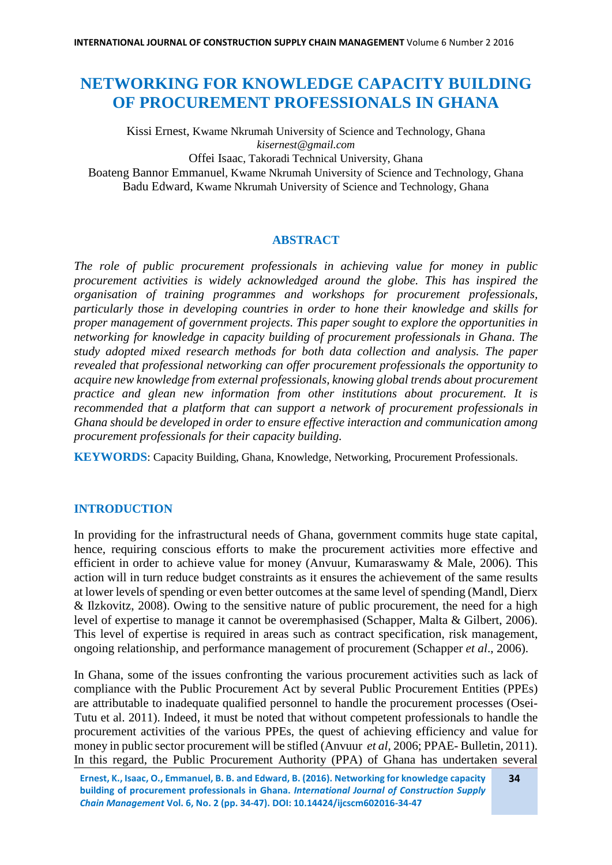# **NETWORKING FOR KNOWLEDGE CAPACITY BUILDING OF PROCUREMENT PROFESSIONALS IN GHANA**

Kissi Ernest, Kwame Nkrumah University of Science and Technology, Ghana *kisernest@gmail.com*

Offei Isaac, Takoradi Technical University, Ghana

Boateng Bannor Emmanuel, Kwame Nkrumah University of Science and Technology, Ghana Badu Edward, Kwame Nkrumah University of Science and Technology, Ghana

# **ABSTRACT**

*The role of public procurement professionals in achieving value for money in public procurement activities is widely acknowledged around the globe. This has inspired the organisation of training programmes and workshops for procurement professionals, particularly those in developing countries in order to hone their knowledge and skills for proper management of government projects. This paper sought to explore the opportunities in networking for knowledge in capacity building of procurement professionals in Ghana. The study adopted mixed research methods for both data collection and analysis. The paper revealed that professional networking can offer procurement professionals the opportunity to acquire new knowledge from external professionals, knowing global trends about procurement practice and glean new information from other institutions about procurement. It is recommended that a platform that can support a network of procurement professionals in Ghana should be developed in order to ensure effective interaction and communication among procurement professionals for their capacity building.* 

**KEYWORDS**: Capacity Building, Ghana, Knowledge, Networking, Procurement Professionals.

# **INTRODUCTION**

In providing for the infrastructural needs of Ghana, government commits huge state capital, hence, requiring conscious efforts to make the procurement activities more effective and efficient in order to achieve value for money (Anvuur, Kumaraswamy & Male, 2006). This action will in turn reduce budget constraints as it ensures the achievement of the same results at lower levels of spending or even better outcomes at the same level of spending (Mandl, Dierx & Ilzkovitz, 2008). Owing to the sensitive nature of public procurement, the need for a high level of expertise to manage it cannot be overemphasised (Schapper, Malta & Gilbert, 2006). This level of expertise is required in areas such as contract specification, risk management, ongoing relationship, and performance management of procurement (Schapper *et al*., 2006).

In Ghana, some of the issues confronting the various procurement activities such as lack of compliance with the Public Procurement Act by several Public Procurement Entities (PPEs) are attributable to inadequate qualified personnel to handle the procurement processes (Osei-Tutu et al. 2011). Indeed, it must be noted that without competent professionals to handle the procurement activities of the various PPEs, the quest of achieving efficiency and value for money in public sector procurement will be stifled (Anvuur *et al,* 2006; PPAE- Bulletin, 2011). In this regard, the Public Procurement Authority (PPA) of Ghana has undertaken several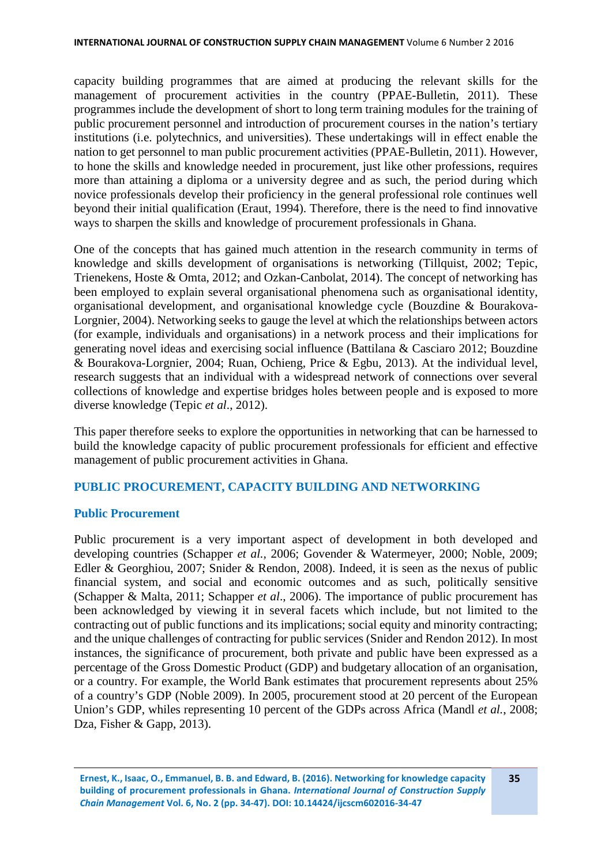capacity building programmes that are aimed at producing the relevant skills for the management of procurement activities in the country (PPAE-Bulletin, 2011). These programmes include the development of short to long term training modules for the training of public procurement personnel and introduction of procurement courses in the nation's tertiary institutions (i.e. polytechnics, and universities). These undertakings will in effect enable the nation to get personnel to man public procurement activities (PPAE-Bulletin, 2011). However, to hone the skills and knowledge needed in procurement, just like other professions, requires more than attaining a diploma or a university degree and as such, the period during which novice professionals develop their proficiency in the general professional role continues well beyond their initial qualification (Eraut, 1994). Therefore, there is the need to find innovative ways to sharpen the skills and knowledge of procurement professionals in Ghana.

One of the concepts that has gained much attention in the research community in terms of knowledge and skills development of organisations is networking (Tillquist, 2002; Tepic, Trienekens, Hoste & Omta, 2012; and Ozkan-Canbolat, 2014). The concept of networking has been employed to explain several organisational phenomena such as organisational identity, organisational development, and organisational knowledge cycle (Bouzdine & Bourakova-Lorgnier, 2004). Networking seeks to gauge the level at which the relationships between actors (for example, individuals and organisations) in a network process and their implications for generating novel ideas and exercising social influence (Battilana & Casciaro 2012; Bouzdine & Bourakova-Lorgnier, 2004; Ruan, Ochieng, Price & Egbu, 2013). At the individual level, research suggests that an individual with a widespread network of connections over several collections of knowledge and expertise bridges holes between people and is exposed to more diverse knowledge (Tepic *et al*., 2012).

This paper therefore seeks to explore the opportunities in networking that can be harnessed to build the knowledge capacity of public procurement professionals for efficient and effective management of public procurement activities in Ghana.

# **PUBLIC PROCUREMENT, CAPACITY BUILDING AND NETWORKING**

# **Public Procurement**

Public procurement is a very important aspect of development in both developed and developing countries (Schapper *et al.,* 2006; Govender & Watermeyer, 2000; Noble, 2009; Edler & Georghiou, 2007; Snider & Rendon, 2008). Indeed, it is seen as the nexus of public financial system, and social and economic outcomes and as such, politically sensitive (Schapper & Malta, 2011; Schapper *et al*., 2006). The importance of public procurement has been acknowledged by viewing it in several facets which include, but not limited to the contracting out of public functions and its implications; social equity and minority contracting; and the unique challenges of contracting for public services (Snider and Rendon 2012). In most instances, the significance of procurement, both private and public have been expressed as a percentage of the Gross Domestic Product (GDP) and budgetary allocation of an organisation, or a country. For example, the World Bank estimates that procurement represents about 25% of a country's GDP (Noble 2009). In 2005, procurement stood at 20 percent of the European Union's GDP, whiles representing 10 percent of the GDPs across Africa (Mandl *et al.*, 2008; Dza, Fisher & Gapp, 2013).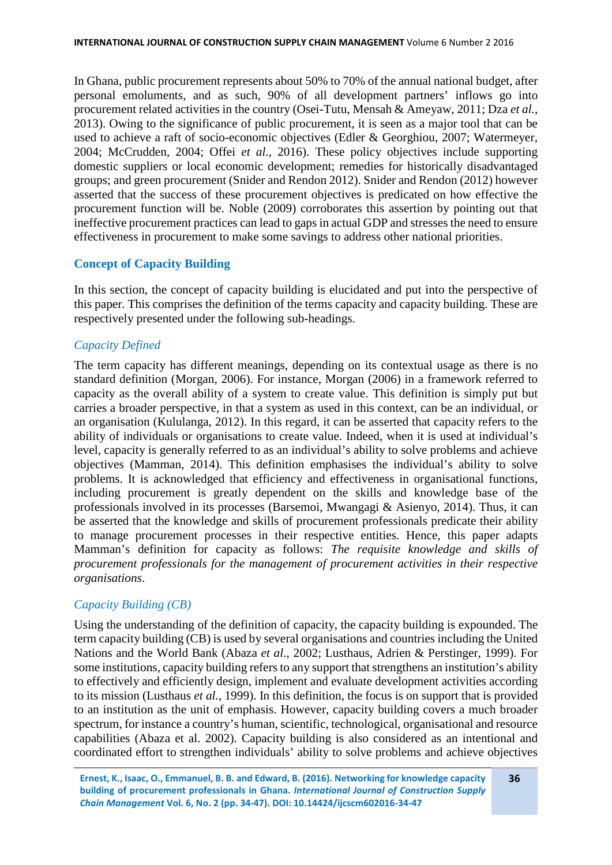In Ghana, public procurement represents about 50% to 70% of the annual national budget, after personal emoluments, and as such, 90% of all development partners' inflows go into procurement related activities in the country (Osei-Tutu, Mensah & Ameyaw, 2011; Dza *et al.,* 2013). Owing to the significance of public procurement, it is seen as a major tool that can be used to achieve a raft of socio-economic objectives (Edler & Georghiou, 2007; Watermeyer, 2004; McCrudden, 2004; Offei *et al.,* 2016). These policy objectives include supporting domestic suppliers or local economic development; remedies for historically disadvantaged groups; and green procurement (Snider and Rendon 2012). Snider and Rendon (2012) however asserted that the success of these procurement objectives is predicated on how effective the procurement function will be. Noble (2009) corroborates this assertion by pointing out that ineffective procurement practices can lead to gaps in actual GDP and stresses the need to ensure effectiveness in procurement to make some savings to address other national priorities.

# **Concept of Capacity Building**

In this section, the concept of capacity building is elucidated and put into the perspective of this paper. This comprises the definition of the terms capacity and capacity building. These are respectively presented under the following sub-headings.

# *Capacity Defined*

The term capacity has different meanings, depending on its contextual usage as there is no standard definition (Morgan, 2006). For instance, Morgan (2006) in a framework referred to capacity as the overall ability of a system to create value. This definition is simply put but carries a broader perspective, in that a system as used in this context, can be an individual, or an organisation (Kululanga, 2012). In this regard, it can be asserted that capacity refers to the ability of individuals or organisations to create value. Indeed, when it is used at individual's level, capacity is generally referred to as an individual's ability to solve problems and achieve objectives (Mamman, 2014). This definition emphasises the individual's ability to solve problems. It is acknowledged that efficiency and effectiveness in organisational functions, including procurement is greatly dependent on the skills and knowledge base of the professionals involved in its processes (Barsemoi, Mwangagi & Asienyo, 2014). Thus, it can be asserted that the knowledge and skills of procurement professionals predicate their ability to manage procurement processes in their respective entities. Hence, this paper adapts Mamman's definition for capacity as follows: *The requisite knowledge and skills of procurement professionals for the management of procurement activities in their respective organisations*.

# *Capacity Building (CB)*

Using the understanding of the definition of capacity, the capacity building is expounded. The term capacity building (CB) is used by several organisations and countries including the United Nations and the World Bank (Abaza *et al*., 2002; Lusthaus, Adrien & Perstinger, 1999). For some institutions, capacity building refers to any support that strengthens an institution's ability to effectively and efficiently design, implement and evaluate development activities according to its mission (Lusthaus *et al.*, 1999). In this definition, the focus is on support that is provided to an institution as the unit of emphasis. However, capacity building covers a much broader spectrum, for instance a country's human, scientific, technological, organisational and resource capabilities (Abaza et al. 2002). Capacity building is also considered as an intentional and coordinated effort to strengthen individuals' ability to solve problems and achieve objectives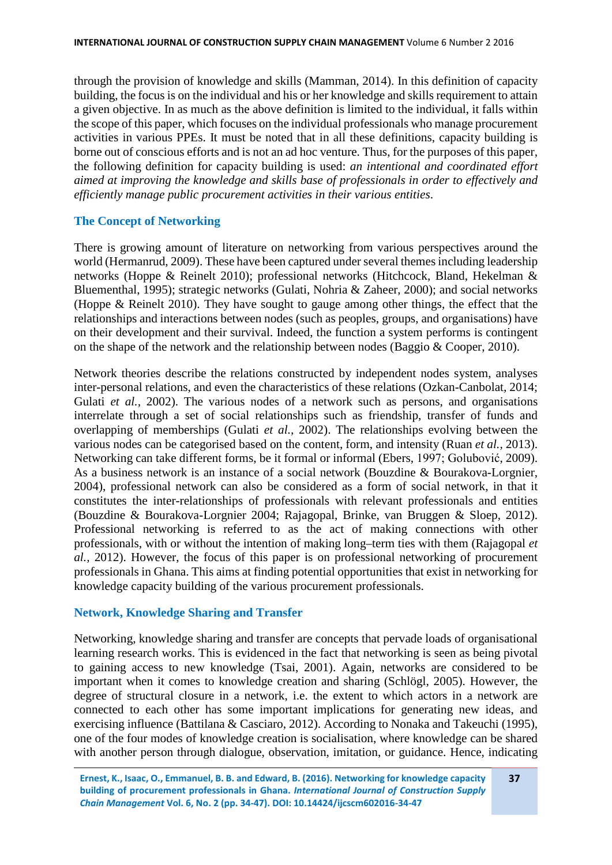through the provision of knowledge and skills (Mamman, 2014). In this definition of capacity building, the focus is on the individual and his or her knowledge and skills requirement to attain a given objective. In as much as the above definition is limited to the individual, it falls within the scope of this paper, which focuses on the individual professionals who manage procurement activities in various PPEs. It must be noted that in all these definitions, capacity building is borne out of conscious efforts and is not an ad hoc venture. Thus, for the purposes of this paper, the following definition for capacity building is used: *an intentional and coordinated effort aimed at improving the knowledge and skills base of professionals in order to effectively and efficiently manage public procurement activities in their various entities*.

# **The Concept of Networking**

There is growing amount of literature on networking from various perspectives around the world (Hermanrud, 2009). These have been captured under several themes including leadership networks (Hoppe & Reinelt 2010); professional networks (Hitchcock, Bland, Hekelman & Bluementhal, 1995); strategic networks (Gulati, Nohria & Zaheer, 2000); and social networks (Hoppe & Reinelt 2010). They have sought to gauge among other things, the effect that the relationships and interactions between nodes (such as peoples, groups, and organisations) have on their development and their survival. Indeed, the function a system performs is contingent on the shape of the network and the relationship between nodes (Baggio & Cooper, 2010).

Network theories describe the relations constructed by independent nodes system, analyses inter-personal relations, and even the characteristics of these relations (Ozkan-Canbolat, 2014; Gulati *et al.,* 2002). The various nodes of a network such as persons, and organisations interrelate through a set of social relationships such as friendship, transfer of funds and overlapping of memberships (Gulati *et al.,* 2002). The relationships evolving between the various nodes can be categorised based on the content, form, and intensity (Ruan *et al.,* 2013). Networking can take different forms, be it formal or informal (Ebers, 1997; Golubović, 2009). As a business network is an instance of a social network (Bouzdine & Bourakova-Lorgnier, 2004), professional network can also be considered as a form of social network, in that it constitutes the inter-relationships of professionals with relevant professionals and entities (Bouzdine & Bourakova-Lorgnier 2004; Rajagopal, Brinke, van Bruggen & Sloep, 2012). Professional networking is referred to as the act of making connections with other professionals, with or without the intention of making long–term ties with them (Rajagopal *et al.,* 2012). However, the focus of this paper is on professional networking of procurement professionals in Ghana. This aims at finding potential opportunities that exist in networking for knowledge capacity building of the various procurement professionals.

# **Network, Knowledge Sharing and Transfer**

Networking, knowledge sharing and transfer are concepts that pervade loads of organisational learning research works. This is evidenced in the fact that networking is seen as being pivotal to gaining access to new knowledge (Tsai, 2001). Again, networks are considered to be important when it comes to knowledge creation and sharing (Schlögl, 2005). However, the degree of structural closure in a network, i.e. the extent to which actors in a network are connected to each other has some important implications for generating new ideas, and exercising influence (Battilana & Casciaro, 2012). According to Nonaka and Takeuchi (1995), one of the four modes of knowledge creation is socialisation, where knowledge can be shared with another person through dialogue, observation, imitation, or guidance. Hence, indicating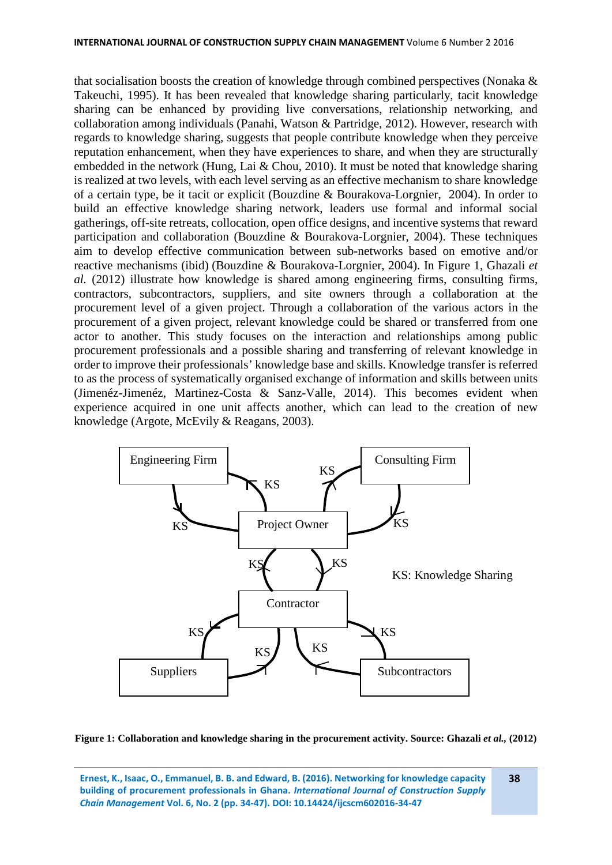that socialisation boosts the creation of knowledge through combined perspectives (Nonaka & Takeuchi, 1995). It has been revealed that knowledge sharing particularly, tacit knowledge sharing can be enhanced by providing live conversations, relationship networking, and collaboration among individuals (Panahi, Watson & Partridge, 2012). However, research with regards to knowledge sharing, suggests that people contribute knowledge when they perceive reputation enhancement, when they have experiences to share, and when they are structurally embedded in the network (Hung, Lai & Chou, 2010). It must be noted that knowledge sharing is realized at two levels, with each level serving as an effective mechanism to share knowledge of a certain type, be it tacit or explicit (Bouzdine & Bourakova-Lorgnier, 2004). In order to build an effective knowledge sharing network, leaders use formal and informal social gatherings, off-site retreats, collocation, open office designs, and incentive systems that reward participation and collaboration (Bouzdine & Bourakova-Lorgnier, 2004). These techniques aim to develop effective communication between sub-networks based on emotive and/or reactive mechanisms (ibid) (Bouzdine & Bourakova-Lorgnier, 2004). In Figure 1, Ghazali *et al.* (2012) illustrate how knowledge is shared among engineering firms, consulting firms, contractors, subcontractors, suppliers, and site owners through a collaboration at the procurement level of a given project. Through a collaboration of the various actors in the procurement of a given project, relevant knowledge could be shared or transferred from one actor to another. This study focuses on the interaction and relationships among public procurement professionals and a possible sharing and transferring of relevant knowledge in order to improve their professionals' knowledge base and skills. Knowledge transfer is referred to as the process of systematically organised exchange of information and skills between units (Jimenéz-Jimenéz, Martinez-Costa & Sanz-Valle, 2014). This becomes evident when experience acquired in one unit affects another, which can lead to the creation of new knowledge (Argote, McEvily & Reagans, 2003).



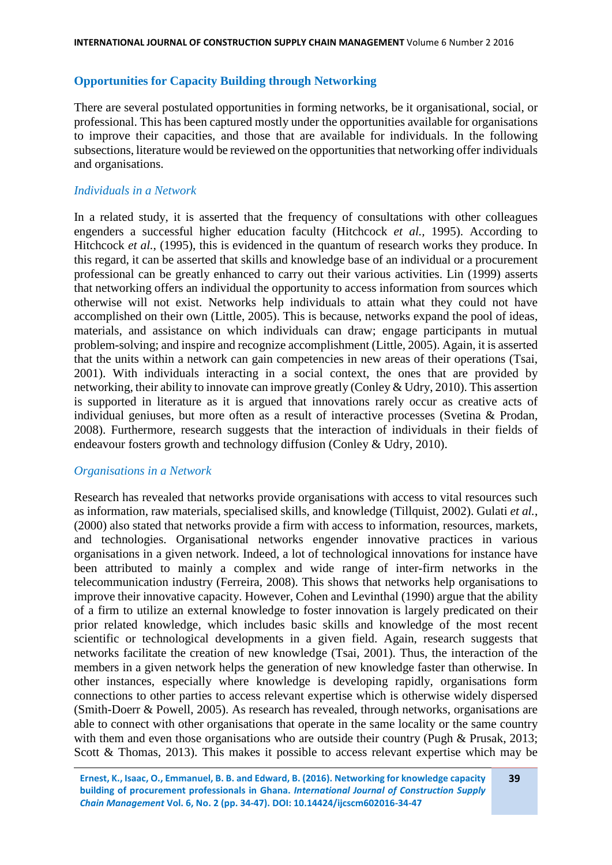# **Opportunities for Capacity Building through Networking**

There are several postulated opportunities in forming networks, be it organisational, social, or professional. This has been captured mostly under the opportunities available for organisations to improve their capacities, and those that are available for individuals. In the following subsections, literature would be reviewed on the opportunities that networking offer individuals and organisations.

# *Individuals in a Network*

In a related study, it is asserted that the frequency of consultations with other colleagues engenders a successful higher education faculty (Hitchcock *et al.,* 1995). According to Hitchcock *et al.*, (1995), this is evidenced in the quantum of research works they produce. In this regard, it can be asserted that skills and knowledge base of an individual or a procurement professional can be greatly enhanced to carry out their various activities. Lin (1999) asserts that networking offers an individual the opportunity to access information from sources which otherwise will not exist. Networks help individuals to attain what they could not have accomplished on their own (Little, 2005). This is because, networks expand the pool of ideas, materials, and assistance on which individuals can draw; engage participants in mutual problem-solving; and inspire and recognize accomplishment (Little, 2005). Again, it is asserted that the units within a network can gain competencies in new areas of their operations (Tsai, 2001). With individuals interacting in a social context, the ones that are provided by networking, their ability to innovate can improve greatly (Conley & Udry, 2010). This assertion is supported in literature as it is argued that innovations rarely occur as creative acts of individual geniuses, but more often as a result of interactive processes (Svetina & Prodan, 2008). Furthermore, research suggests that the interaction of individuals in their fields of endeavour fosters growth and technology diffusion (Conley & Udry, 2010).

# *Organisations in a Network*

Research has revealed that networks provide organisations with access to vital resources such as information, raw materials, specialised skills, and knowledge (Tillquist, 2002). Gulati *et al.*, (2000) also stated that networks provide a firm with access to information, resources, markets, and technologies. Organisational networks engender innovative practices in various organisations in a given network. Indeed, a lot of technological innovations for instance have been attributed to mainly a complex and wide range of inter-firm networks in the telecommunication industry (Ferreira, 2008). This shows that networks help organisations to improve their innovative capacity. However, Cohen and Levinthal (1990) argue that the ability of a firm to utilize an external knowledge to foster innovation is largely predicated on their prior related knowledge, which includes basic skills and knowledge of the most recent scientific or technological developments in a given field. Again, research suggests that networks facilitate the creation of new knowledge (Tsai, 2001). Thus, the interaction of the members in a given network helps the generation of new knowledge faster than otherwise. In other instances, especially where knowledge is developing rapidly, organisations form connections to other parties to access relevant expertise which is otherwise widely dispersed (Smith-Doerr & Powell, 2005). As research has revealed, through networks, organisations are able to connect with other organisations that operate in the same locality or the same country with them and even those organisations who are outside their country (Pugh & Prusak, 2013; Scott & Thomas, 2013). This makes it possible to access relevant expertise which may be

**Ernest, K., Isaac, O., Emmanuel, B. B. and Edward, B. (2016). Networking for knowledge capacity building of procurement professionals in Ghana.** *International Journal of Construction Supply Chain Management* **Vol. 6, No. 2 (pp. 34-47). DOI: 10.14424/ijcscm602016-34-47 39**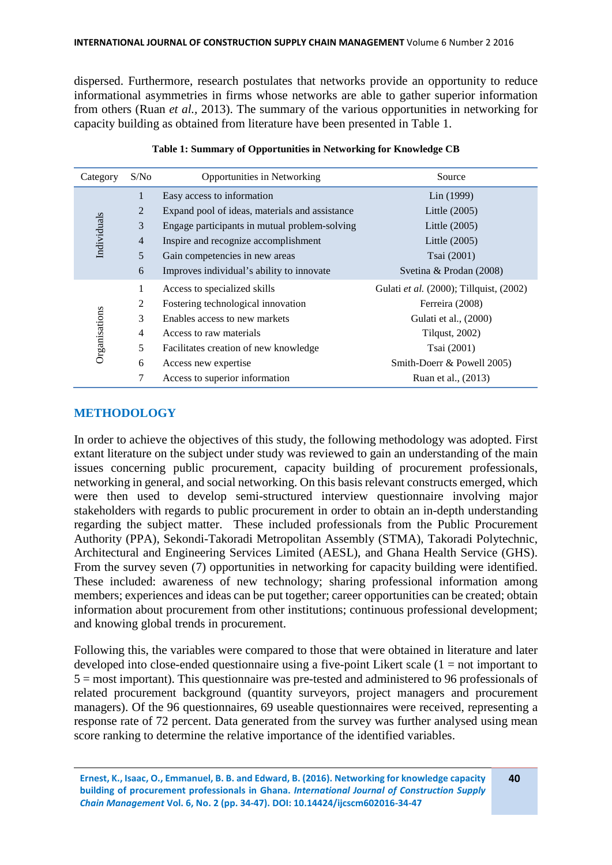dispersed. Furthermore, research postulates that networks provide an opportunity to reduce informational asymmetries in firms whose networks are able to gather superior information from others (Ruan *et al.,* 2013). The summary of the various opportunities in networking for capacity building as obtained from literature have been presented in Table 1.

| Category      | S/No           | Opportunities in Networking                    | Source                                  |  |  |
|---------------|----------------|------------------------------------------------|-----------------------------------------|--|--|
| Individuals   | $\mathbf{1}$   | Easy access to information                     | Lin(1999)                               |  |  |
|               | 2              | Expand pool of ideas, materials and assistance | Little $(2005)$                         |  |  |
|               | 3              | Engage participants in mutual problem-solving  | Little (2005)                           |  |  |
|               | $\overline{4}$ | Inspire and recognize accomplishment           | Little (2005)                           |  |  |
|               | 5              | Gain competencies in new areas                 | Tsai (2001)                             |  |  |
|               | 6              | Improves individual's ability to innovate      | Svetina & Prodan (2008)                 |  |  |
| Organisations | 1              | Access to specialized skills                   | Gulati et al. (2000); Tillquist, (2002) |  |  |
|               | 2              | Fostering technological innovation             | Ferreira (2008)                         |  |  |
|               | 3              | Enables access to new markets                  | Gulati et al., (2000)                   |  |  |
|               | $\overline{4}$ | Access to raw materials                        | <b>Tilqust</b> , 2002)                  |  |  |
|               | 5              | Facilitates creation of new knowledge          | Tsai (2001)                             |  |  |
|               | 6              | Access new expertise                           | Smith-Doerr & Powell 2005)              |  |  |
|               | 7              | Access to superior information                 | Ruan et al., (2013)                     |  |  |

#### **Table 1: Summary of Opportunities in Networking for Knowledge CB**

# **METHODOLOGY**

In order to achieve the objectives of this study, the following methodology was adopted. First extant literature on the subject under study was reviewed to gain an understanding of the main issues concerning public procurement, capacity building of procurement professionals, networking in general, and social networking. On this basis relevant constructs emerged, which were then used to develop semi-structured interview questionnaire involving major stakeholders with regards to public procurement in order to obtain an in-depth understanding regarding the subject matter. These included professionals from the Public Procurement Authority (PPA), Sekondi-Takoradi Metropolitan Assembly (STMA), Takoradi Polytechnic, Architectural and Engineering Services Limited (AESL), and Ghana Health Service (GHS). From the survey seven (7) opportunities in networking for capacity building were identified. These included: awareness of new technology; sharing professional information among members; experiences and ideas can be put together; career opportunities can be created; obtain information about procurement from other institutions; continuous professional development; and knowing global trends in procurement.

Following this, the variables were compared to those that were obtained in literature and later developed into close-ended questionnaire using a five-point Likert scale  $(1 = not important to$ 5 = most important). This questionnaire was pre-tested and administered to 96 professionals of related procurement background (quantity surveyors, project managers and procurement managers). Of the 96 questionnaires, 69 useable questionnaires were received, representing a response rate of 72 percent. Data generated from the survey was further analysed using mean score ranking to determine the relative importance of the identified variables.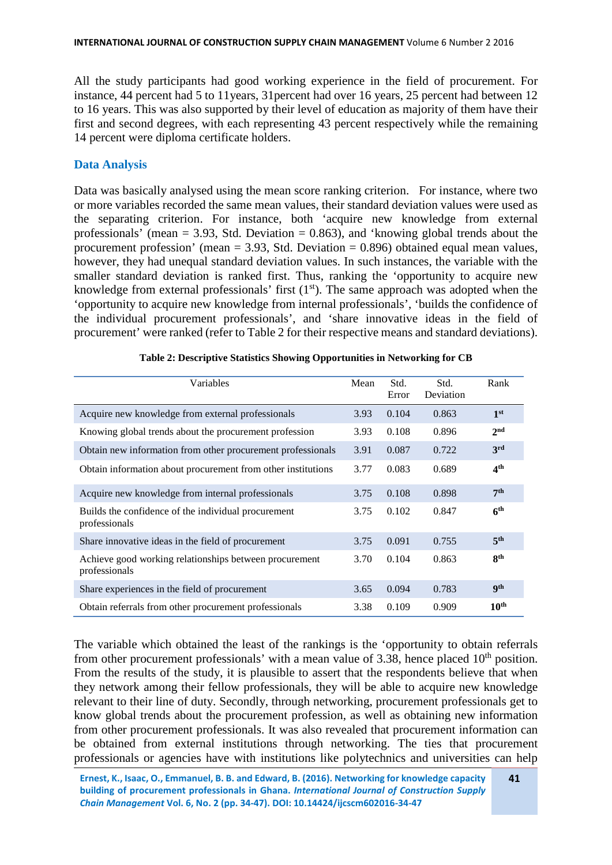All the study participants had good working experience in the field of procurement. For instance, 44 percent had 5 to 11years, 31percent had over 16 years, 25 percent had between 12 to 16 years. This was also supported by their level of education as majority of them have their first and second degrees, with each representing 43 percent respectively while the remaining 14 percent were diploma certificate holders.

# **Data Analysis**

Data was basically analysed using the mean score ranking criterion. For instance, where two or more variables recorded the same mean values, their standard deviation values were used as the separating criterion. For instance, both 'acquire new knowledge from external professionals' (mean  $= 3.93$ , Std. Deviation  $= 0.863$ ), and 'knowing global trends about the procurement profession' (mean  $= 3.93$ , Std. Deviation  $= 0.896$ ) obtained equal mean values, however, they had unequal standard deviation values. In such instances, the variable with the smaller standard deviation is ranked first. Thus, ranking the 'opportunity to acquire new knowledge from external professionals' first  $(1<sup>st</sup>)$ . The same approach was adopted when the 'opportunity to acquire new knowledge from internal professionals', 'builds the confidence of the individual procurement professionals', and 'share innovative ideas in the field of procurement' were ranked (refer to Table 2 for their respective means and standard deviations).

| Variables                                                               | Mean | Std.<br>Error | Std.<br>Deviation | Rank             |
|-------------------------------------------------------------------------|------|---------------|-------------------|------------------|
| Acquire new knowledge from external professionals                       | 3.93 | 0.104         | 0.863             | 1 <sup>st</sup>  |
| Knowing global trends about the procurement profession                  | 3.93 | 0.108         | 0.896             | 2 <sup>nd</sup>  |
| Obtain new information from other procurement professionals             | 3.91 | 0.087         | 0.722             | 3 <sup>rd</sup>  |
| Obtain information about procurement from other institutions            | 3.77 | 0.083         | 0.689             | 4 <sup>th</sup>  |
| Acquire new knowledge from internal professionals                       | 3.75 | 0.108         | 0.898             | 7 <sup>th</sup>  |
| Builds the confidence of the individual procurement<br>professionals    | 3.75 | 0.102         | 0.847             | 6 <sup>th</sup>  |
| Share innovative ideas in the field of procurement                      | 3.75 | 0.091         | 0.755             | 5 <sup>th</sup>  |
| Achieve good working relationships between procurement<br>professionals | 3.70 | 0.104         | 0.863             | 8 <sup>th</sup>  |
| Share experiences in the field of procurement                           | 3.65 | 0.094         | 0.783             | <b>gth</b>       |
| Obtain referrals from other procurement professionals                   | 3.38 | 0.109         | 0.909             | 10 <sup>th</sup> |

|  |  | Table 2: Descriptive Statistics Showing Opportunities in Networking for CB |  |  |
|--|--|----------------------------------------------------------------------------|--|--|
|  |  |                                                                            |  |  |

The variable which obtained the least of the rankings is the 'opportunity to obtain referrals from other procurement professionals' with a mean value of  $3.38$ , hence placed  $10<sup>th</sup>$  position. From the results of the study, it is plausible to assert that the respondents believe that when they network among their fellow professionals, they will be able to acquire new knowledge relevant to their line of duty. Secondly, through networking, procurement professionals get to know global trends about the procurement profession, as well as obtaining new information from other procurement professionals. It was also revealed that procurement information can be obtained from external institutions through networking. The ties that procurement professionals or agencies have with institutions like polytechnics and universities can help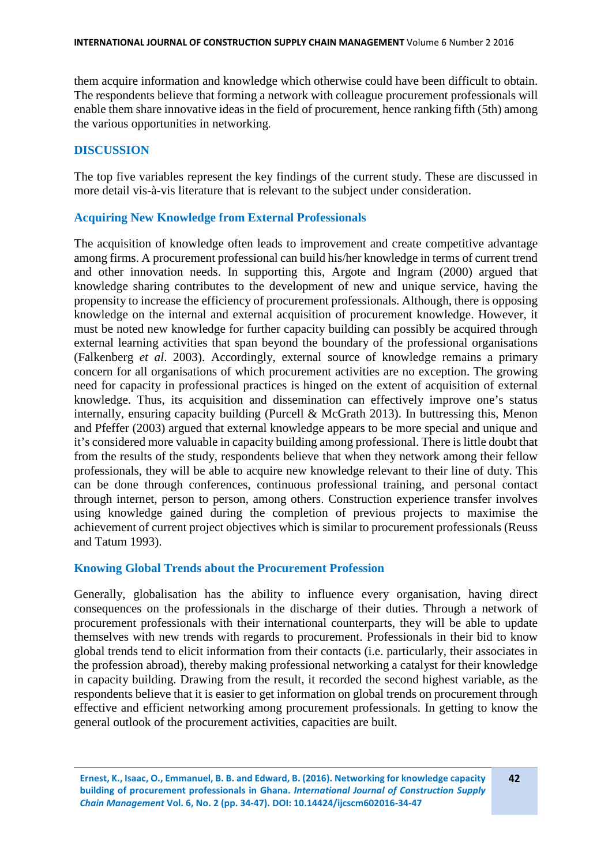them acquire information and knowledge which otherwise could have been difficult to obtain. The respondents believe that forming a network with colleague procurement professionals will enable them share innovative ideas in the field of procurement, hence ranking fifth (5th) among the various opportunities in networking.

### **DISCUSSION**

The top five variables represent the key findings of the current study. These are discussed in more detail vis-à-vis literature that is relevant to the subject under consideration.

#### **Acquiring New Knowledge from External Professionals**

The acquisition of knowledge often leads to improvement and create competitive advantage among firms. A procurement professional can build his/her knowledge in terms of current trend and other innovation needs. In supporting this, Argote and Ingram (2000) argued that knowledge sharing contributes to the development of new and unique service, having the propensity to increase the efficiency of procurement professionals. Although, there is opposing knowledge on the internal and external acquisition of procurement knowledge. However, it must be noted new knowledge for further capacity building can possibly be acquired through external learning activities that span beyond the boundary of the professional organisations (Falkenberg *et al*. 2003). Accordingly, external source of knowledge remains a primary concern for all organisations of which procurement activities are no exception. The growing need for capacity in professional practices is hinged on the extent of acquisition of external knowledge. Thus, its acquisition and dissemination can effectively improve one's status internally, ensuring capacity building (Purcell & McGrath 2013). In buttressing this, Menon and Pfeffer (2003) argued that external knowledge appears to be more special and unique and it's considered more valuable in capacity building among professional. There is little doubt that from the results of the study, respondents believe that when they network among their fellow professionals, they will be able to acquire new knowledge relevant to their line of duty. This can be done through conferences, continuous professional training, and personal contact through internet, person to person, among others. Construction experience transfer involves using knowledge gained during the completion of previous projects to maximise the achievement of current project objectives which is similar to procurement professionals (Reuss and Tatum 1993).

#### **Knowing Global Trends about the Procurement Profession**

Generally, globalisation has the ability to influence every organisation, having direct consequences on the professionals in the discharge of their duties. Through a network of procurement professionals with their international counterparts, they will be able to update themselves with new trends with regards to procurement. Professionals in their bid to know global trends tend to elicit information from their contacts (i.e. particularly, their associates in the profession abroad), thereby making professional networking a catalyst for their knowledge in capacity building. Drawing from the result, it recorded the second highest variable, as the respondents believe that it is easier to get information on global trends on procurement through effective and efficient networking among procurement professionals. In getting to know the general outlook of the procurement activities, capacities are built.

**Ernest, K., Isaac, O., Emmanuel, B. B. and Edward, B. (2016). Networking for knowledge capacity building of procurement professionals in Ghana.** *International Journal of Construction Supply Chain Management* **Vol. 6, No. 2 (pp. 34-47). DOI: 10.14424/ijcscm602016-34-47**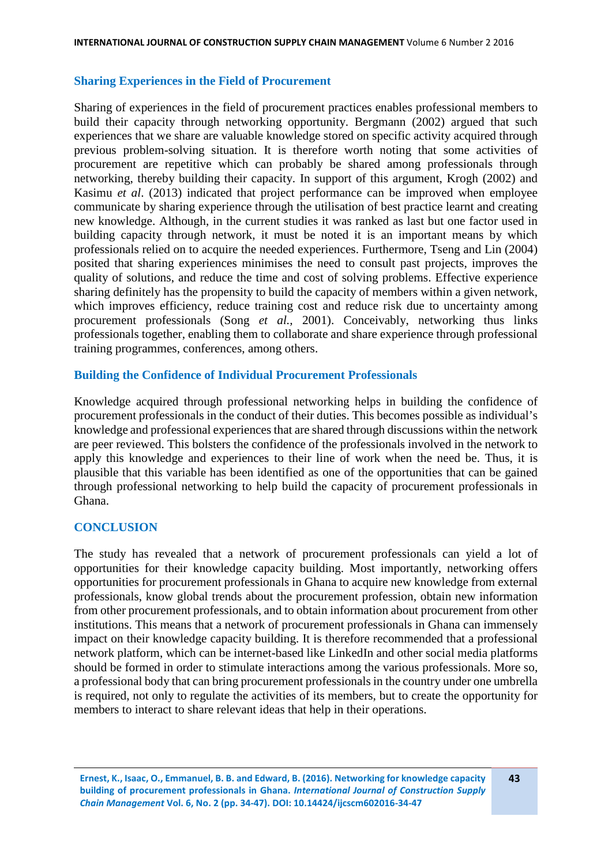# **Sharing Experiences in the Field of Procurement**

Sharing of experiences in the field of procurement practices enables professional members to build their capacity through networking opportunity. Bergmann (2002) argued that such experiences that we share are valuable knowledge stored on specific activity acquired through previous problem-solving situation. It is therefore worth noting that some activities of procurement are repetitive which can probably be shared among professionals through networking, thereby building their capacity. In support of this argument, Krogh (2002) and Kasimu *et al*. (2013) indicated that project performance can be improved when employee communicate by sharing experience through the utilisation of best practice learnt and creating new knowledge. Although, in the current studies it was ranked as last but one factor used in building capacity through network, it must be noted it is an important means by which professionals relied on to acquire the needed experiences. Furthermore, Tseng and Lin (2004) posited that sharing experiences minimises the need to consult past projects, improves the quality of solutions, and reduce the time and cost of solving problems. Effective experience sharing definitely has the propensity to build the capacity of members within a given network, which improves efficiency, reduce training cost and reduce risk due to uncertainty among procurement professionals (Song *et al.,* 2001). Conceivably, networking thus links professionals together, enabling them to collaborate and share experience through professional training programmes, conferences, among others.

#### **Building the Confidence of Individual Procurement Professionals**

Knowledge acquired through professional networking helps in building the confidence of procurement professionals in the conduct of their duties. This becomes possible as individual's knowledge and professional experiences that are shared through discussions within the network are peer reviewed. This bolsters the confidence of the professionals involved in the network to apply this knowledge and experiences to their line of work when the need be. Thus, it is plausible that this variable has been identified as one of the opportunities that can be gained through professional networking to help build the capacity of procurement professionals in Ghana.

# **CONCLUSION**

The study has revealed that a network of procurement professionals can yield a lot of opportunities for their knowledge capacity building. Most importantly, networking offers opportunities for procurement professionals in Ghana to acquire new knowledge from external professionals, know global trends about the procurement profession, obtain new information from other procurement professionals, and to obtain information about procurement from other institutions. This means that a network of procurement professionals in Ghana can immensely impact on their knowledge capacity building. It is therefore recommended that a professional network platform, which can be internet-based like LinkedIn and other social media platforms should be formed in order to stimulate interactions among the various professionals. More so, a professional body that can bring procurement professionals in the country under one umbrella is required, not only to regulate the activities of its members, but to create the opportunity for members to interact to share relevant ideas that help in their operations.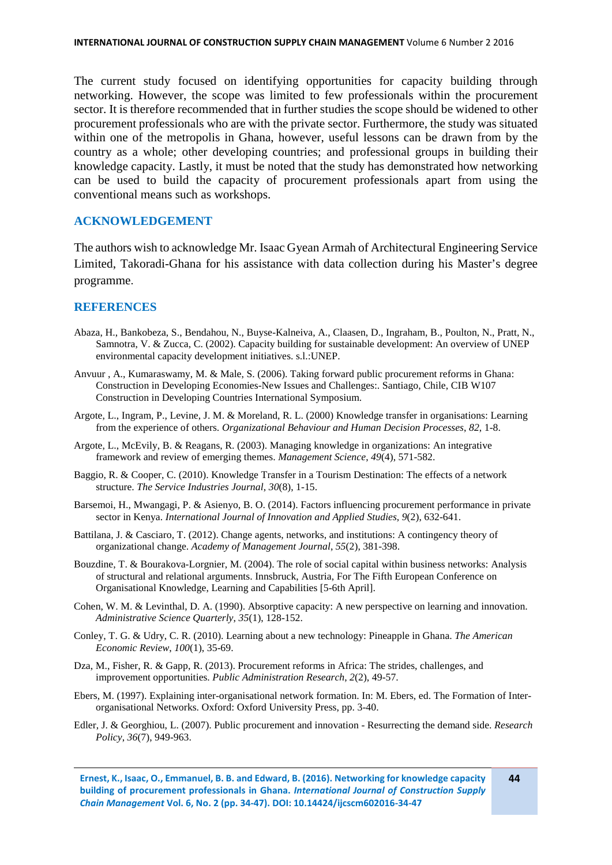The current study focused on identifying opportunities for capacity building through networking. However, the scope was limited to few professionals within the procurement sector. It is therefore recommended that in further studies the scope should be widened to other procurement professionals who are with the private sector. Furthermore, the study was situated within one of the metropolis in Ghana, however, useful lessons can be drawn from by the country as a whole; other developing countries; and professional groups in building their knowledge capacity. Lastly, it must be noted that the study has demonstrated how networking can be used to build the capacity of procurement professionals apart from using the conventional means such as workshops.

# **ACKNOWLEDGEMENT**

The authors wish to acknowledge Mr. Isaac Gyean Armah of Architectural Engineering Service Limited, Takoradi-Ghana for his assistance with data collection during his Master's degree programme.

#### **REFERENCES**

- Abaza, H., Bankobeza, S., Bendahou, N., Buyse-Kalneiva, A., Claasen, D., Ingraham, B., Poulton, N., Pratt, N., Samnotra, V. & Zucca, C. (2002). Capacity building for sustainable development: An overview of UNEP environmental capacity development initiatives. s.l.:UNEP.
- Anvuur , A., Kumaraswamy, M. & Male, S. (2006). Taking forward public procurement reforms in Ghana: Construction in Developing Economies-New Issues and Challenges:. Santiago, Chile, CIB W107 Construction in Developing Countries International Symposium.
- Argote, L., Ingram, P., Levine, J. M. & Moreland, R. L. (2000) Knowledge transfer in organisations: Learning from the experience of others. *Organizational Behaviour and Human Decision Processes*, *82*, 1-8.
- Argote, L., McEvily, B. & Reagans, R. (2003). Managing knowledge in organizations: An integrative framework and review of emerging themes. *Management Science*, *49*(4), 571-582.
- Baggio, R. & Cooper, C. (2010). Knowledge Transfer in a Tourism Destination: The effects of a network structure. *The Service Industries Journal*, *30*(8), 1-15.
- Barsemoi, H., Mwangagi, P. & Asienyo, B. O. (2014). Factors influencing procurement performance in private sector in Kenya. *International Journal of Innovation and Applied Studies*, *9*(2), 632-641.
- Battilana, J. & Casciaro, T. (2012). Change agents, networks, and institutions: A contingency theory of organizational change. *Academy of Management Journal*, *55*(2), 381-398.
- Bouzdine, T. & Bourakova-Lorgnier, M. (2004). The role of social capital within business networks: Analysis of structural and relational arguments. Innsbruck, Austria, For The Fifth European Conference on Organisational Knowledge, Learning and Capabilities [5-6th April].
- Cohen, W. M. & Levinthal, D. A. (1990). Absorptive capacity: A new perspective on learning and innovation. *Administrative Science Quarterly*, *35*(1), 128-152.
- Conley, T. G. & Udry, C. R. (2010). Learning about a new technology: Pineapple in Ghana. *The American Economic Review*, *100*(1), 35-69.
- Dza, M., Fisher, R. & Gapp, R. (2013). Procurement reforms in Africa: The strides, challenges, and improvement opportunities. *Public Administration Research*, *2*(2), 49-57.
- Ebers, M. (1997). Explaining inter-organisational network formation. In: M. Ebers, ed. The Formation of Interorganisational Networks. Oxford: Oxford University Press, pp. 3-40.
- Edler, J. & Georghiou, L. (2007). Public procurement and innovation Resurrecting the demand side. *Research Policy*, *36*(7), 949-963.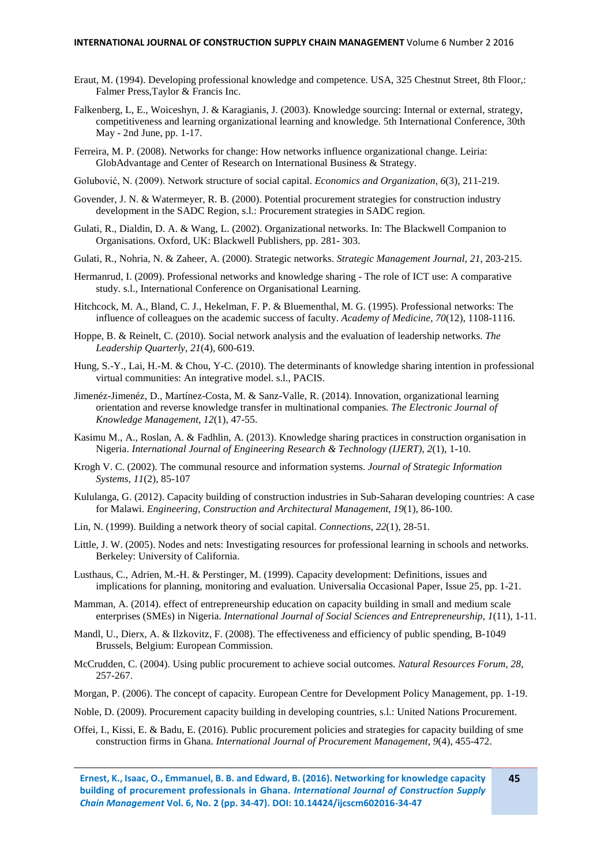#### **INTERNATIONAL JOURNAL OF CONSTRUCTION SUPPLY CHAIN MANAGEMENT** Volume 6 Number 2 2016

- Eraut, M. (1994). Developing professional knowledge and competence. USA, 325 Chestnut Street, 8th Floor,: Falmer Press,Taylor & Francis Inc.
- Falkenberg, L, E., Woiceshyn, J. & Karagianis, J. (2003). Knowledge sourcing: Internal or external, strategy, competitiveness and learning organizational learning and knowledge. 5th International Conference, 30th May - 2nd June, pp. 1-17.
- Ferreira, M. P. (2008). Networks for change: How networks influence organizational change. Leiria: GlobAdvantage and Center of Research on International Business & Strategy.
- Golubović, N. (2009). Network structure of social capital. *Economics and Organization*, *6*(3), 211-219.
- Govender, J. N. & Watermeyer, R. B. (2000). Potential procurement strategies for construction industry development in the SADC Region, s.l.: Procurement strategies in SADC region.
- Gulati, R., Dialdin, D. A. & Wang, L. (2002). Organizational networks. In: The Blackwell Companion to Organisations. Oxford, UK: Blackwell Publishers, pp. 281- 303.
- Gulati, R., Nohria, N. & Zaheer, A. (2000). Strategic networks. *Strategic Management Journal*, *21*, 203-215.
- Hermanrud, I. (2009). Professional networks and knowledge sharing The role of ICT use: A comparative study. s.l., International Conference on Organisational Learning.
- Hitchcock, M. A., Bland, C. J., Hekelman, F. P. & Bluementhal, M. G. (1995). Professional networks: The influence of colleagues on the academic success of faculty. *Academy of Medicine*, *70*(12), 1108-1116.
- Hoppe, B. & Reinelt, C. (2010). Social network analysis and the evaluation of leadership networks. *The Leadership Quarterly*, *21*(4), 600-619.
- Hung, S.-Y., Lai, H.-M. & Chou, Y-C. (2010). The determinants of knowledge sharing intention in professional virtual communities: An integrative model. s.l., PACIS.
- Jimenéz-Jimenéz, D., Martínez-Costa, M. & Sanz-Valle, R. (2014). Innovation, organizational learning orientation and reverse knowledge transfer in multinational companies. *The Electronic Journal of Knowledge Management*, *12*(1), 47-55.
- Kasimu M., A., Roslan, A. & Fadhlin, A. (2013). Knowledge sharing practices in construction organisation in Nigeria. *International Journal of Engineering Research & Technology (IJERT)*, *2*(1), 1-10.
- Krogh V. C. (2002). The communal resource and information systems. *Journal of Strategic Information Systems, 11*(2), 85-107
- Kululanga, G. (2012). Capacity building of construction industries in Sub-Saharan developing countries: A case for Malawi. *Engineering, Construction and Architectural Management*, *19*(1), 86-100.
- Lin, N. (1999). Building a network theory of social capital. *Connections*, *22*(1), 28-51.
- Little, J. W. (2005). Nodes and nets: Investigating resources for professional learning in schools and networks. Berkeley: University of California.
- Lusthaus, C., Adrien, M.-H. & Perstinger, M. (1999). Capacity development: Definitions, issues and implications for planning, monitoring and evaluation. Universalia Occasional Paper, Issue 25, pp. 1-21.
- Mamman, A. (2014). effect of entrepreneurship education on capacity building in small and medium scale enterprises (SMEs) in Nigeria. *International Journal of Social Sciences and Entrepreneurship*, *1*(11), 1-11.
- Mandl, U., Dierx, A. & Ilzkovitz, F. (2008). The effectiveness and efficiency of public spending, B-1049 Brussels, Belgium: European Commission.
- McCrudden, C. (2004). Using public procurement to achieve social outcomes. *Natural Resources Forum*, *28*, 257-267.
- Morgan, P. (2006). The concept of capacity. European Centre for Development Policy Management, pp. 1-19.
- Noble, D. (2009). Procurement capacity building in developing countries, s.l.: United Nations Procurement.
- Offei, I., Kissi, E. & Badu, E. (2016). Public procurement policies and strategies for capacity building of sme construction firms in Ghana. *International Journal of Procurement Management*, *9*(4), 455-472.

**Ernest, K., Isaac, O., Emmanuel, B. B. and Edward, B. (2016). Networking for knowledge capacity building of procurement professionals in Ghana.** *International Journal of Construction Supply Chain Management* **Vol. 6, No. 2 (pp. 34-47). DOI: 10.14424/ijcscm602016-34-47**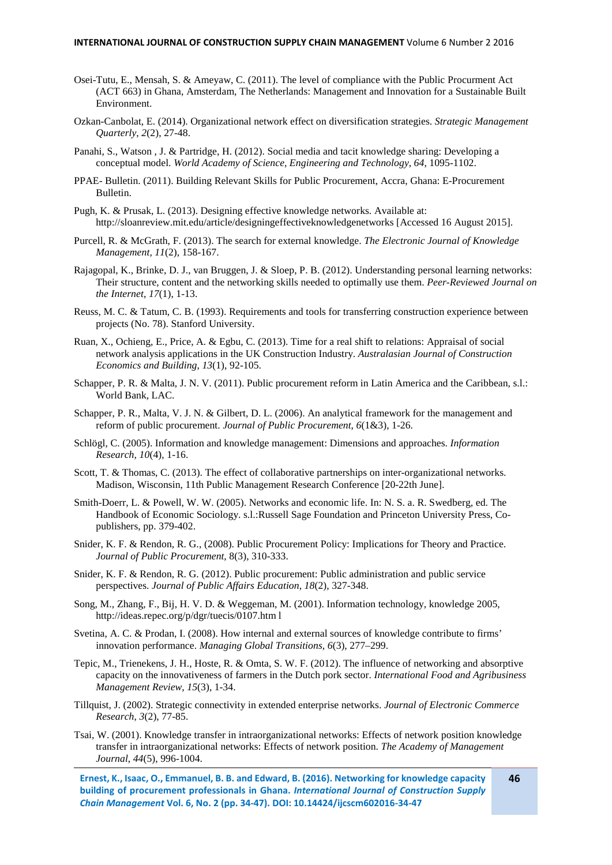#### **INTERNATIONAL JOURNAL OF CONSTRUCTION SUPPLY CHAIN MANAGEMENT** Volume 6 Number 2 2016

- Osei-Tutu, E., Mensah, S. & Ameyaw, C. (2011). The level of compliance with the Public Procurment Act (ACT 663) in Ghana, Amsterdam, The Netherlands: Management and Innovation for a Sustainable Built Environment.
- Ozkan-Canbolat, E. (2014). Organizational network effect on diversification strategies. *Strategic Management Quarterly*, *2*(2), 27-48.
- Panahi, S., Watson , J. & Partridge, H. (2012). Social media and tacit knowledge sharing: Developing a conceptual model. *World Academy of Science, Engineering and Technology*, *64*, 1095-1102.
- PPAE- Bulletin. (2011). Building Relevant Skills for Public Procurement, Accra, Ghana: E-Procurement Bulletin.
- Pugh, K. & Prusak, L. (2013). Designing effective knowledge networks. Available at: http://sloanreview.mit.edu/article/designingeffectiveknowledgenetworks [Accessed 16 August 2015].
- Purcell, R. & McGrath, F. (2013). The search for external knowledge. *The Electronic Journal of Knowledge Management, 11*(2), 158-167.
- Rajagopal, K., Brinke, D. J., van Bruggen, J. & Sloep, P. B. (2012). Understanding personal learning networks: Their structure, content and the networking skills needed to optimally use them. *Peer-Reviewed Journal on the Internet*, *17*(1), 1-13.
- Reuss, M. C. & Tatum, C. B. (1993). Requirements and tools for transferring construction experience between projects (No. 78). Stanford University.
- Ruan, X., Ochieng, E., Price, A. & Egbu, C. (2013). Time for a real shift to relations: Appraisal of social network analysis applications in the UK Construction Industry. *Australasian Journal of Construction Economics and Building*, *13*(1), 92-105.
- Schapper, P. R. & Malta, J. N. V. (2011). Public procurement reform in Latin America and the Caribbean, s.l.: World Bank, LAC.
- Schapper, P. R., Malta, V. J. N. & Gilbert, D. L. (2006). An analytical framework for the management and reform of public procurement. *Journal of Public Procurement*, *6*(1&3), 1-26.
- Schlögl, C. (2005). Information and knowledge management: Dimensions and approaches. *Information Research*, *10*(4), 1-16.
- Scott, T. & Thomas, C. (2013). The effect of collaborative partnerships on inter-organizational networks. Madison, Wisconsin, 11th Public Management Research Conference [20-22th June].
- Smith-Doerr, L. & Powell, W. W. (2005). Networks and economic life. In: N. S. a. R. Swedberg, ed. The Handbook of Economic Sociology. s.l.:Russell Sage Foundation and Princeton University Press, Copublishers, pp. 379-402.
- Snider, K. F. & Rendon, R. G., (2008). Public Procurement Policy: Implications for Theory and Practice. *Journal of Public Procurement*, 8(3), 310-333.
- Snider, K. F. & Rendon, R. G. (2012). Public procurement: Public administration and public service perspectives. *Journal of Public Affairs Education*, *18*(2), 327-348.
- Song, M., Zhang, F., Bij, H. V. D. & Weggeman, M. (2001). Information technology, knowledge 2005, http://ideas.repec.org/p/dgr/tuecis/0107.htm l
- Svetina, A. C. & Prodan, I. (2008). How internal and external sources of knowledge contribute to firms' innovation performance. *Managing Global Transitions*, *6*(3), 277–299.
- Tepic, M., Trienekens, J. H., Hoste, R. & Omta, S. W. F. (2012). The influence of networking and absorptive capacity on the innovativeness of farmers in the Dutch pork sector. *International Food and Agribusiness Management Review*, *15*(3), 1-34.
- Tillquist, J. (2002). Strategic connectivity in extended enterprise networks. *Journal of Electronic Commerce Research*, *3*(2), 77-85.
- Tsai, W. (2001). Knowledge transfer in intraorganizational networks: Effects of network position knowledge transfer in intraorganizational networks: Effects of network position. *The Academy of Management Journal*, *44*(5), 996-1004.